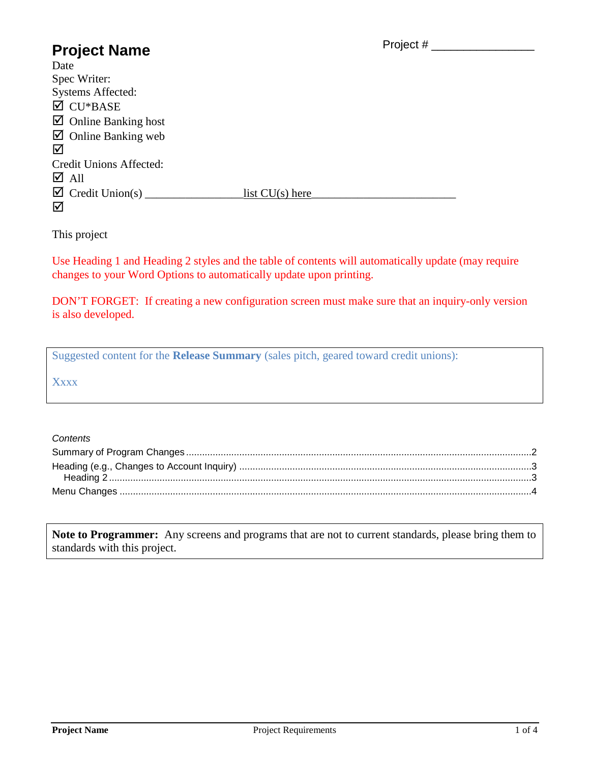### Project # \_\_\_\_\_\_\_\_\_\_\_\_\_\_\_\_

# **Project Name**

| Date                                |                   |
|-------------------------------------|-------------------|
| Spec Writer:                        |                   |
| <b>Systems Affected:</b>            |                   |
| $\overline{\mathsf{C}}$ CU*BASE     |                   |
| $\boxtimes$ Online Banking host     |                   |
| $\boxtimes$ Online Banking web      |                   |
| ☑                                   |                   |
| Credit Unions Affected:             |                   |
| $\overline{\triangle}$ All          |                   |
| $\boxtimes$ Credit Union(s) _______ | list $CU(s)$ here |
| ☑                                   |                   |

This project

Use Heading 1 and Heading 2 styles and the table of contents will automatically update (may require changes to your Word Options to automatically update upon printing.

DON'T FORGET: If creating a new configuration screen must make sure that an inquiry-only version is also developed.

Suggested content for the **Release Summary** (sales pitch, geared toward credit unions):

**Xxxx** 

#### *Contents*

**Note to Programmer:** Any screens and programs that are not to current standards, please bring them to standards with this project.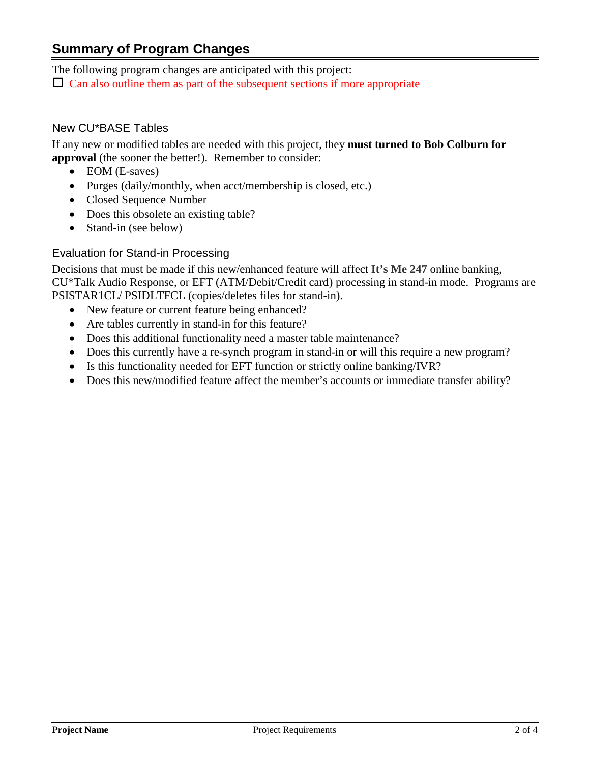## <span id="page-1-0"></span>**Summary of Program Changes**

The following program changes are anticipated with this project:

 $\Box$  Can also outline them as part of the subsequent sections if more appropriate

## New CU\*BASE Tables

If any new or modified tables are needed with this project, they **must turned to Bob Colburn for approval** (the sooner the better!). Remember to consider:

- EOM (E-saves)
- Purges (daily/monthly, when acct/membership is closed, etc.)
- Closed Sequence Number
- Does this obsolete an existing table?
- Stand-in (see below)

## Evaluation for Stand-in Processing

Decisions that must be made if this new/enhanced feature will affect **It's Me 247** online banking, CU\*Talk Audio Response, or EFT (ATM/Debit/Credit card) processing in stand-in mode. Programs are PSISTAR1CL/ PSIDLTFCL (copies/deletes files for stand-in).

- New feature or current feature being enhanced?
- Are tables currently in stand-in for this feature?
- Does this additional functionality need a master table maintenance?
- Does this currently have a re-synch program in stand-in or will this require a new program?
- Is this functionality needed for EFT function or strictly online banking/IVR?
- Does this new/modified feature affect the member's accounts or immediate transfer ability?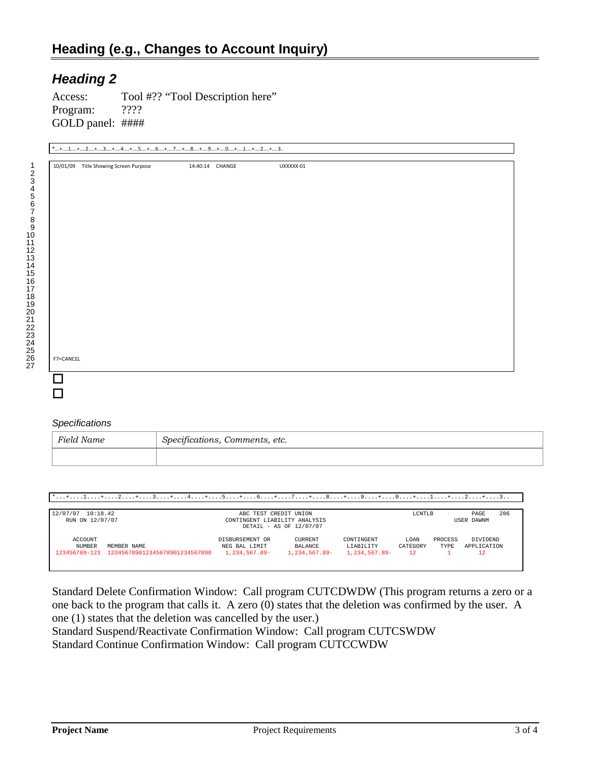## <span id="page-2-1"></span><span id="page-2-0"></span>*Heading 2*

Access: Tool #?? "Tool Description here" Program: ???? GOLD panel: ####

| 10/01/09 Title Showing Screen Purpose | 14:40:14 CHANGE | UXXXXX-01 |  |
|---------------------------------------|-----------------|-----------|--|
|                                       |                 |           |  |
|                                       |                 |           |  |
|                                       |                 |           |  |
|                                       |                 |           |  |
|                                       |                 |           |  |
|                                       |                 |           |  |
|                                       |                 |           |  |
|                                       |                 |           |  |
|                                       |                 |           |  |
|                                       |                 |           |  |
|                                       |                 |           |  |
|                                       |                 |           |  |
|                                       |                 |           |  |
|                                       |                 |           |  |
|                                       |                 |           |  |
|                                       |                 |           |  |
|                                       |                 |           |  |
| F7=CANCEL                             |                 |           |  |
|                                       |                 |           |  |

#### *Specifications*

| Field Name | $\cdot$ $\sim$<br>Specifications, Comments, etc. |  |
|------------|--------------------------------------------------|--|
|            |                                                  |  |

\*...+....1....+....2....+....3....+....4....+....5....+....6....+....7....+....8....+....9....+....0....+....1....+....2....+....3..

| 10:18.42<br>12/07/07 |                                | ABC TEST CREDIT UNION         |                  |               | LCNTLB   |         | PAGE        | 286 |
|----------------------|--------------------------------|-------------------------------|------------------|---------------|----------|---------|-------------|-----|
| RUN ON 12/07/07      |                                | CONTINGENT LIABILITY ANALYSIS |                  |               |          |         | USER DAWNM  |     |
|                      |                                | DETAIL - AS OF 12/07/07       |                  |               |          |         |             |     |
| ACCOUNT              |                                | DISBURSEMENT OR               | <b>CURRENT</b>   | CONTINGENT    | LOAN     | PROCESS | DIVIDEND    |     |
| NUMBER               | MEMBER NAME                    | NEG BAL LIMIT                 | BALANCE          | LIABILITY     | CATEGORY | TYPE:   | APPLICATION |     |
| 123456789-123        | 123456789012345678901234567890 | 1,234,567.89-                 | $1.234.567.89 -$ | 1,234,567.89- | 12       |         | 12          |     |
|                      |                                |                               |                  |               |          |         |             |     |
|                      |                                |                               |                  |               |          |         |             |     |

Standard Delete Confirmation Window: Call program CUTCDWDW (This program returns a zero or a one back to the program that calls it. A zero (0) states that the deletion was confirmed by the user. A one (1) states that the deletion was cancelled by the user.)

Standard Suspend/Reactivate Confirmation Window: Call program CUTCSWDW Standard Continue Confirmation Window: Call program CUTCCWDW